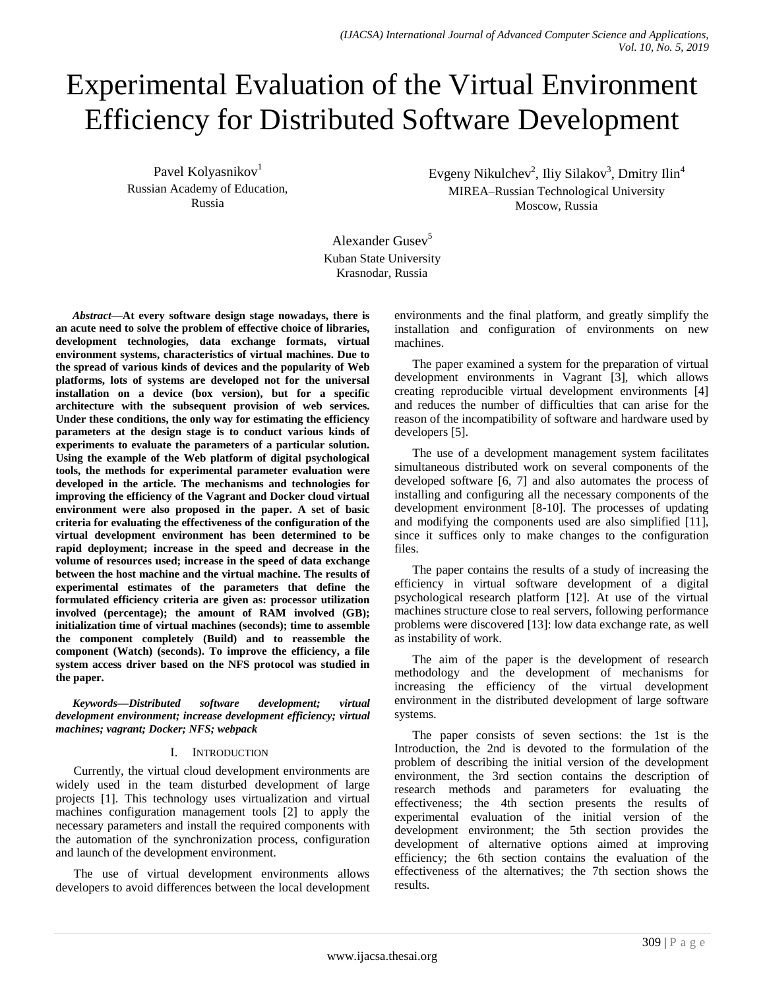# Experimental Evaluation of the Virtual Environment Efficiency for Distributed Software Development

Pavel Kolyasnikov<sup>1</sup> Russian Academy of Education, Russia

Evgeny Nikulchev<sup>2</sup>, Iliy Silakov<sup>3</sup>, Dmitry Ilin<sup>4</sup> MIREA–Russian Technological University Moscow, Russia

Alexander Gusev $<sup>5</sup>$ </sup> Kuban State University Krasnodar, Russia

*Abstract***—At every software design stage nowadays, there is an acute need to solve the problem of effective choice of libraries, development technologies, data exchange formats, virtual environment systems, characteristics of virtual machines. Due to the spread of various kinds of devices and the popularity of Web platforms, lots of systems are developed not for the universal installation on a device (box version), but for a specific architecture with the subsequent provision of web services. Under these conditions, the only way for estimating the efficiency parameters at the design stage is to conduct various kinds of experiments to evaluate the parameters of a particular solution. Using the example of the Web platform of digital psychological tools, the methods for experimental parameter evaluation were developed in the article. The mechanisms and technologies for improving the efficiency of the Vagrant and Docker cloud virtual environment were also proposed in the paper. A set of basic criteria for evaluating the effectiveness of the configuration of the virtual development environment has been determined to be rapid deployment; increase in the speed and decrease in the volume of resources used; increase in the speed of data exchange between the host machine and the virtual machine. The results of experimental estimates of the parameters that define the formulated efficiency criteria are given as: processor utilization involved (percentage); the amount of RAM involved (GB); initialization time of virtual machines (seconds); time to assemble the component completely (Build) and to reassemble the component (Watch) (seconds). To improve the efficiency, a file system access driver based on the NFS protocol was studied in the paper.**

*Keywords—Distributed software development; virtual development environment; increase development efficiency; virtual machines; vagrant; Docker; NFS; webpack* 

# I. INTRODUCTION

Currently, the virtual cloud development environments are widely used in the team disturbed development of large projects [1]. This technology uses virtualization and virtual machines configuration management tools [2] to apply the necessary parameters and install the required components with the automation of the synchronization process, configuration and launch of the development environment.

The use of virtual development environments allows developers to avoid differences between the local development environments and the final platform, and greatly simplify the installation and configuration of environments on new machines.

The paper examined a system for the preparation of virtual development environments in Vagrant [3], which allows creating reproducible virtual development environments [4] and reduces the number of difficulties that can arise for the reason of the incompatibility of software and hardware used by developers [5].

The use of a development management system facilitates simultaneous distributed work on several components of the developed software [6, 7] and also automates the process of installing and configuring all the necessary components of the development environment [8-10]. The processes of updating and modifying the components used are also simplified [11], since it suffices only to make changes to the configuration files.

The paper contains the results of a study of increasing the efficiency in virtual software development of a digital psychological research platform [12]. At use of the virtual machines structure close to real servers, following performance problems were discovered [13]: low data exchange rate, as well as instability of work.

The aim of the paper is the development of research methodology and the development of mechanisms for increasing the efficiency of the virtual development environment in the distributed development of large software systems.

The paper consists of seven sections: the 1st is the Introduction, the 2nd is devoted to the formulation of the problem of describing the initial version of the development environment, the 3rd section contains the description of research methods and parameters for evaluating the effectiveness; the 4th section presents the results of experimental evaluation of the initial version of the development environment; the 5th section provides the development of alternative options aimed at improving efficiency; the 6th section contains the evaluation of the effectiveness of the alternatives; the 7th section shows the results.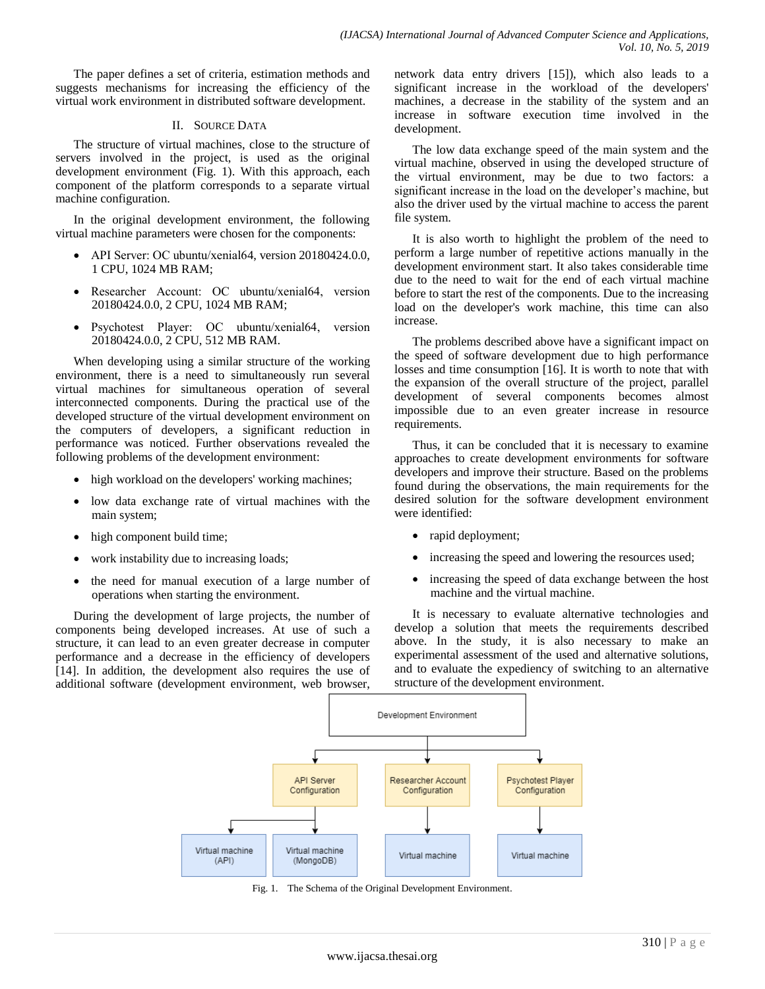The paper defines a set of criteria, estimation methods and suggests mechanisms for increasing the efficiency of the virtual work environment in distributed software development.

# II. SOURCE DATA

The structure of virtual machines, close to the structure of servers involved in the project, is used as the original development environment (Fig. 1). With this approach, each component of the platform corresponds to a separate virtual machine configuration.

In the original development environment, the following virtual machine parameters were chosen for the components:

- API Server: OC ubuntu/xenial64, version 20180424.0.0, 1 CPU, 1024 MB RAM;
- Researcher Account: ОС ubuntu/xenial64, version 20180424.0.0, 2 CPU, 1024 MB RAM;
- Psychotest Player: ОС ubuntu/xenial64, version 20180424.0.0, 2 CPU, 512 MB RAM.

When developing using a similar structure of the working environment, there is a need to simultaneously run several virtual machines for simultaneous operation of several interconnected components. During the practical use of the developed structure of the virtual development environment on the computers of developers, a significant reduction in performance was noticed. Further observations revealed the following problems of the development environment:

- high workload on the developers' working machines;
- low data exchange rate of virtual machines with the main system;
- high component build time;
- work instability due to increasing loads;
- the need for manual execution of a large number of operations when starting the environment.

During the development of large projects, the number of components being developed increases. At use of such a structure, it can lead to an even greater decrease in computer performance and a decrease in the efficiency of developers [14]. In addition, the development also requires the use of additional software (development environment, web browser, network data entry drivers [15]), which also leads to a significant increase in the workload of the developers' machines, a decrease in the stability of the system and an increase in software execution time involved in the development.

The low data exchange speed of the main system and the virtual machine, observed in using the developed structure of the virtual environment, may be due to two factors: a significant increase in the load on the developer's machine, but also the driver used by the virtual machine to access the parent file system.

It is also worth to highlight the problem of the need to perform a large number of repetitive actions manually in the development environment start. It also takes considerable time due to the need to wait for the end of each virtual machine before to start the rest of the components. Due to the increasing load on the developer's work machine, this time can also increase.

The problems described above have a significant impact on the speed of software development due to high performance losses and time consumption [16]. It is worth to note that with the expansion of the overall structure of the project, parallel development of several components becomes almost impossible due to an even greater increase in resource requirements.

Thus, it can be concluded that it is necessary to examine approaches to create development environments for software developers and improve their structure. Based on the problems found during the observations, the main requirements for the desired solution for the software development environment were identified:

- rapid deployment;
- increasing the speed and lowering the resources used;
- increasing the speed of data exchange between the host machine and the virtual machine.

It is necessary to evaluate alternative technologies and develop a solution that meets the requirements described above. In the study, it is also necessary to make an experimental assessment of the used and alternative solutions, and to evaluate the expediency of switching to an alternative structure of the development environment.



Fig. 1. The Schema of the Original Development Environment.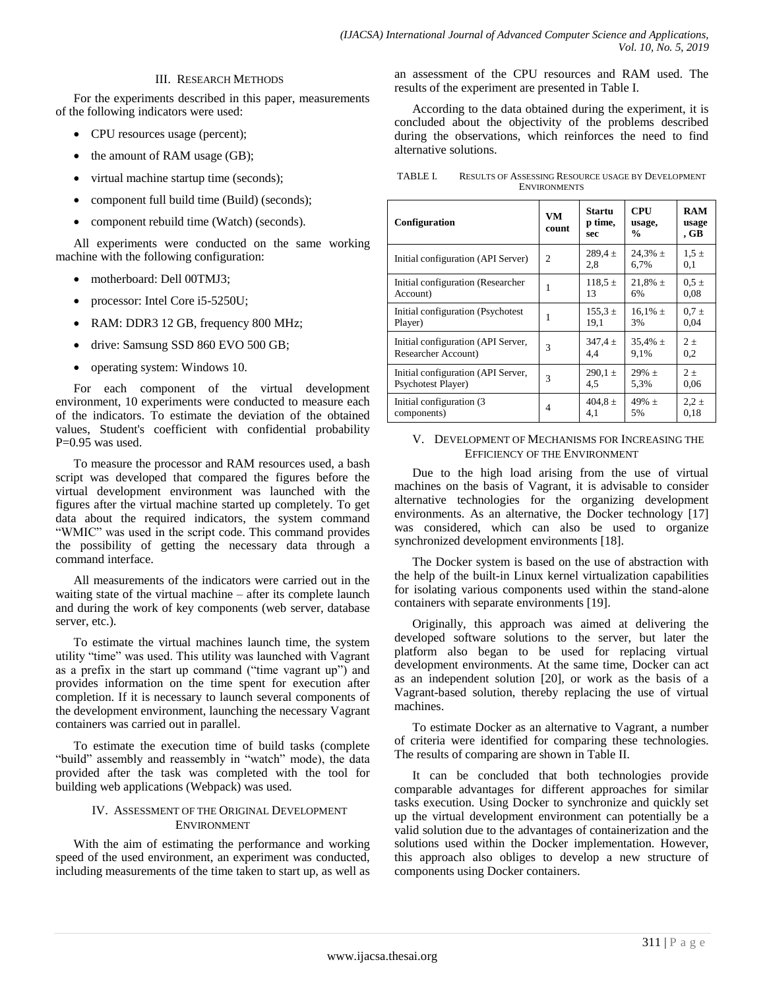# III. RESEARCH METHODS

For the experiments described in this paper, measurements of the following indicators were used:

- CPU resources usage (percent);
- the amount of RAM usage (GB);
- virtual machine startup time (seconds);
- component full build time (Build) (seconds);
- component rebuild time (Watch) (seconds).

All experiments were conducted on the same working machine with the following configuration:

- motherboard: Dell 00TMJ3;
- processor: Intel Core i5-5250U;
- RAM: DDR3 12 GB, frequency 800 MHz;
- drive: Samsung SSD 860 EVO 500 GB;
- operating system: Windows 10.

For each component of the virtual development environment, 10 experiments were conducted to measure each of the indicators. To estimate the deviation of the obtained values, Student's coefficient with confidential probability  $P=0.95$  was used.

To measure the processor and RAM resources used, a bash script was developed that compared the figures before the virtual development environment was launched with the figures after the virtual machine started up completely. To get data about the required indicators, the system command "WMIC" was used in the script code. This command provides the possibility of getting the necessary data through a command interface.

All measurements of the indicators were carried out in the waiting state of the virtual machine – after its complete launch and during the work of key components (web server, database server, etc.).

To estimate the virtual machines launch time, the system utility "time" was used. This utility was launched with Vagrant as a prefix in the start up command ("time vagrant up") and provides information on the time spent for execution after completion. If it is necessary to launch several components of the development environment, launching the necessary Vagrant containers was carried out in parallel.

To estimate the execution time of build tasks (complete "build" assembly and reassembly in "watch" mode), the data provided after the task was completed with the tool for building web applications (Webpack) was used.

# IV. ASSESSMENT OF THE ORIGINAL DEVELOPMENT ENVIRONMENT

With the aim of estimating the performance and working speed of the used environment, an experiment was conducted, including measurements of the time taken to start up, as well as an assessment of the CPU resources and RAM used. The results of the experiment are presented in Table I.

According to the data obtained during the experiment, it is concluded about the objectivity of the problems described during the observations, which reinforces the need to find alternative solutions.

| TABLE I. | <b>RESULTS OF ASSESSING RESOURCE USAGE BY DEVELOPMENT</b> |
|----------|-----------------------------------------------------------|
|          | <b>ENVIRONMENTS</b>                                       |

| Configuration                      | <b>VM</b><br>count | Startu<br>p time,<br>sec | CPU<br>usage,<br>$\frac{0}{0}$ | <b>RAM</b><br>usage<br>, GB |
|------------------------------------|--------------------|--------------------------|--------------------------------|-----------------------------|
| Initial configuration (API Server) | $\overline{c}$     | $289.4 \pm$<br>2,8       | 24,3% $\pm$<br>6,7%            | $1.5 \pm$<br>0,1            |
| Initial configuration (Researcher  | 1                  | $118.5 \pm$              | $21,8\% \pm$                   | $0.5 \pm$                   |
| Account)                           |                    | 13                       | 6%                             | 0.08                        |
| Initial configuration (Psychotest) | 1                  | $155.3 \pm$              | $16.1\% \pm$                   | $0.7 \pm$                   |
| Player)                            |                    | 19.1                     | 3%                             | 0,04                        |
| Initial configuration (API Server, | 3                  | $347.4 \pm$              | $35,4\% \pm$                   | $2 +$                       |
| Researcher Account)                |                    | 4.4                      | 9.1%                           | 0,2                         |
| Initial configuration (API Server, | 3                  | $290.1 \pm$              | $29\% \pm$                     | $2 +$                       |
| Psychotest Player)                 |                    | 4,5                      | 5.3%                           | 0,06                        |
| Initial configuration (3)          | 4                  | 404,8 $\pm$              | $49% +$                        | $2.2 \pm$                   |
| components)                        |                    | 4.1                      | 5%                             | 0.18                        |

### V. DEVELOPMENT OF MECHANISMS FOR INCREASING THE EFFICIENCY OF THE ENVIRONMENT

Due to the high load arising from the use of virtual machines on the basis of Vagrant, it is advisable to consider alternative technologies for the organizing development environments. As an alternative, the Docker technology [17] was considered, which can also be used to organize synchronized development environments [18].

The Docker system is based on the use of abstraction with the help of the built-in Linux kernel virtualization capabilities for isolating various components used within the stand-alone containers with separate environments [19].

Originally, this approach was aimed at delivering the developed software solutions to the server, but later the platform also began to be used for replacing virtual development environments. At the same time, Docker can act as an independent solution [20], or work as the basis of a Vagrant-based solution, thereby replacing the use of virtual machines.

To estimate Docker as an alternative to Vagrant, a number of criteria were identified for comparing these technologies. The results of comparing are shown in Table II.

It can be concluded that both technologies provide comparable advantages for different approaches for similar tasks execution. Using Docker to synchronize and quickly set up the virtual development environment can potentially be a valid solution due to the advantages of containerization and the solutions used within the Docker implementation. However, this approach also obliges to develop a new structure of components using Docker containers.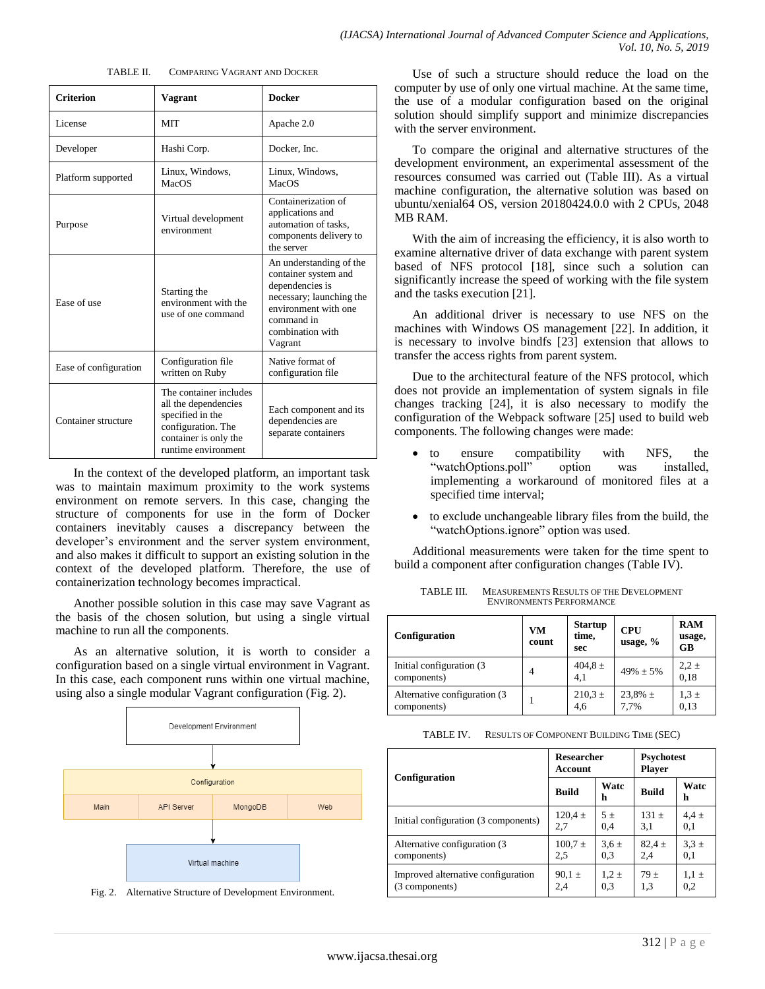| <b>COMPARING VAGRANT AND DOCKER</b> | TABLE II. |  |  |  |  |
|-------------------------------------|-----------|--|--|--|--|
|-------------------------------------|-----------|--|--|--|--|

| <b>Criterion</b>      | Vagrant                                                                                                                                  | <b>Docker</b>                                                                                                                                                       |  |
|-----------------------|------------------------------------------------------------------------------------------------------------------------------------------|---------------------------------------------------------------------------------------------------------------------------------------------------------------------|--|
| License               | <b>MIT</b>                                                                                                                               | Apache 2.0                                                                                                                                                          |  |
| Developer             | Hashi Corp.                                                                                                                              | Docker, Inc.                                                                                                                                                        |  |
| Platform supported    | Linux, Windows,<br>MacOS                                                                                                                 | Linux, Windows,<br><b>MacOS</b>                                                                                                                                     |  |
| Purpose               | Virtual development<br>environment                                                                                                       | Containerization of<br>applications and<br>automation of tasks.<br>components delivery to<br>the server                                                             |  |
| Ease of use           | Starting the<br>environment with the<br>use of one command                                                                               | An understanding of the<br>container system and<br>dependencies is<br>necessary; launching the<br>environment with one<br>command in<br>combination with<br>Vagrant |  |
| Ease of configuration | Configuration file<br>written on Ruby                                                                                                    | Native format of<br>configuration file                                                                                                                              |  |
| Container structure   | The container includes<br>all the dependencies<br>specified in the<br>configuration. The<br>container is only the<br>runtime environment | Each component and its<br>dependencies are<br>separate containers                                                                                                   |  |

In the context of the developed platform, an important task was to maintain maximum proximity to the work systems environment on remote servers. In this case, changing the structure of components for use in the form of Docker containers inevitably causes a discrepancy between the developer's environment and the server system environment, and also makes it difficult to support an existing solution in the context of the developed platform. Therefore, the use of containerization technology becomes impractical.

Another possible solution in this case may save Vagrant as the basis of the chosen solution, but using a single virtual machine to run all the components.

As an alternative solution, it is worth to consider a configuration based on a single virtual environment in Vagrant. In this case, each component runs within one virtual machine, using also a single modular Vagrant configuration (Fig. 2).



Fig. 2. Alternative Structure of Development Environment.

Use of such a structure should reduce the load on the computer by use of only one virtual machine. At the same time, the use of a modular configuration based on the original solution should simplify support and minimize discrepancies with the server environment.

To compare the original and alternative structures of the development environment, an experimental assessment of the resources consumed was carried out (Table III). As a virtual machine configuration, the alternative solution was based on ubuntu/xenial64 OS, version 20180424.0.0 with 2 CPUs, 2048 MB RAM.

With the aim of increasing the efficiency, it is also worth to examine alternative driver of data exchange with parent system based of NFS protocol [18], since such a solution can significantly increase the speed of working with the file system and the tasks execution [21].

An additional driver is necessary to use NFS on the machines with Windows OS management [22]. In addition, it is necessary to involve bindfs [23] extension that allows to transfer the access rights from parent system.

Due to the architectural feature of the NFS protocol, which does not provide an implementation of system signals in file changes tracking [24], it is also necessary to modify the configuration of the Webpack software [25] used to build web components. The following changes were made:

- to ensure compatibility with NFS, the "watchOptions.poll" option was installed, implementing a workaround of monitored files at a specified time interval;
- to exclude unchangeable library files from the build, the "watchOptions.ignore" option was used.

Additional measurements were taken for the time spent to build a component after configuration changes (Table IV).

| Configuration                                | VM<br>count    | <b>Startup</b><br>time,<br>sec | <b>CPU</b><br>usage, $%$ | <b>RAM</b><br>usage,<br>GB |
|----------------------------------------------|----------------|--------------------------------|--------------------------|----------------------------|
| Initial configuration (3)<br>components)     | $\overline{4}$ | $404.8 \pm 4.1$                | $49\% + 5\%$             | $2,2 \pm$<br>0.18          |
| Alternative configuration (3)<br>components) |                | $210,\!3$ $\pm$<br>4,6         | $23,8\% \pm 7,7\%$       | $1,3 \pm$<br>0.13          |

TABLE III. MEASUREMENTS RESULTS OF THE DEVELOPMENT ENVIRONMENTS PERFORMANCE

| TABLE IV. | <b>RESULTS OF COMPONENT BUILDING TIME (SEC)</b> |  |
|-----------|-------------------------------------------------|--|
|-----------|-------------------------------------------------|--|

|                                      | <b>Researcher</b><br>Account |           | <b>Psychotest</b><br><b>Player</b> |           |
|--------------------------------------|------------------------------|-----------|------------------------------------|-----------|
| Configuration                        | <b>Build</b>                 | Watc<br>h | <b>Build</b>                       | Watc<br>h |
| Initial configuration (3 components) | $120.4 \pm$                  | 5±        | $131 +$                            | $4.4 \pm$ |
|                                      | 2,7                          | 0,4       | 3.1                                | 0,1       |
| Alternative configuration (3)        | $100.7 \pm$                  | $3.6 \pm$ | $82.4 \pm$                         | $3.3 \pm$ |
| components)                          | 2,5                          | 0.3       | 2.4                                | 0,1       |
| Improved alternative configuration   | $90.1 \pm$                   | $1.2 \pm$ | $79 \pm$                           | $1.1 \pm$ |
| (3 components)                       | 2.4                          | 0.3       | 1,3                                | 0,2       |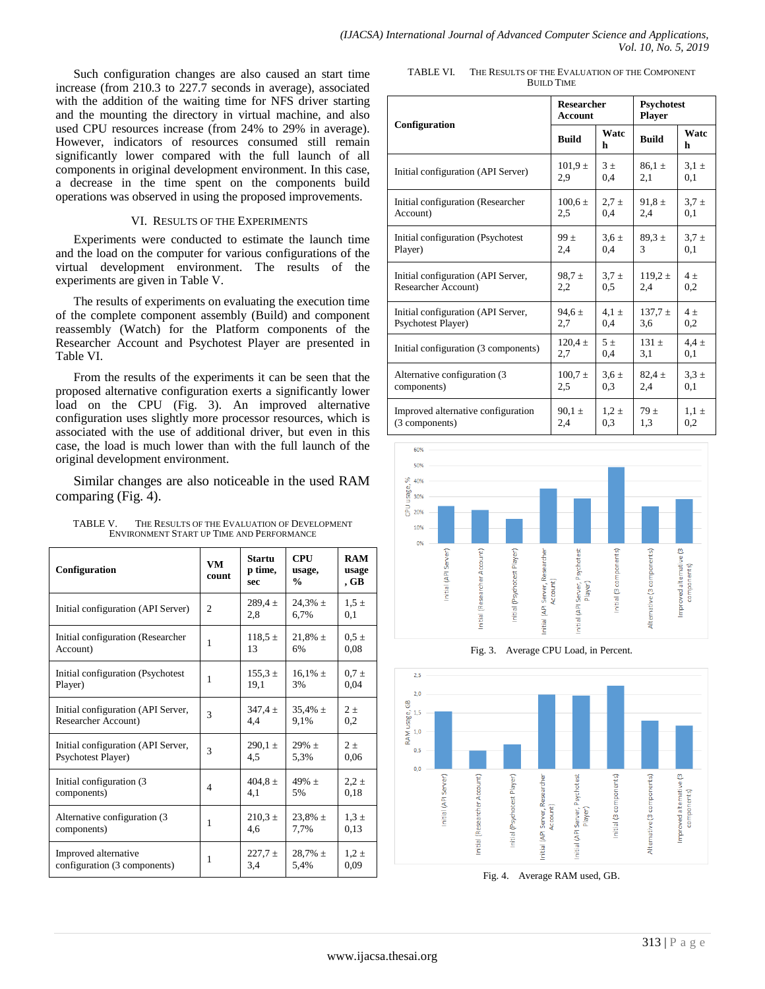Such configuration changes are also caused an start time increase (from 210.3 to 227.7 seconds in average), associated with the addition of the waiting time for NFS driver starting and the mounting the directory in virtual machine, and also used CPU resources increase (from 24% to 29% in average). However, indicators of resources consumed still remain significantly lower compared with the full launch of all components in original development environment. In this case, a decrease in the time spent on the components build operations was observed in using the proposed improvements.

#### VI. RESULTS OF THE EXPERIMENTS

Experiments were conducted to estimate the launch time and the load on the computer for various configurations of the virtual development environment. The results of the experiments are given in Table V.

The results of experiments on evaluating the execution time of the complete component assembly (Build) and component reassembly (Watch) for the Platform components of the Researcher Account and Psychotest Player are presented in Table VI.

From the results of the experiments it can be seen that the proposed alternative configuration exerts a significantly lower load on the CPU (Fig. 3). An improved alternative configuration uses slightly more processor resources, which is associated with the use of additional driver, but even in this case, the load is much lower than with the full launch of the original development environment.

Similar changes are also noticeable in the used RAM comparing (Fig. 4).

| TABLE V. | THE RESULTS OF THE EVALUATION OF DEVELOPMENT |
|----------|----------------------------------------------|
|          | ENVIRONMENT START UP TIME AND PERFORMANCE    |

| Configuration                      | VM<br>count    | Startu<br>p time,<br>sec | <b>CPU</b><br>usage,<br>$\frac{0}{0}$ | <b>RAM</b><br>usage<br>, GB |
|------------------------------------|----------------|--------------------------|---------------------------------------|-----------------------------|
| Initial configuration (API Server) | $\overline{c}$ | $289.4 \pm$<br>2.8       | $24.3\% \pm$<br>6.7%                  | $1.5 \pm$<br>0.1            |
| Initial configuration (Researcher  | 1              | $118.5 \pm$              | $21,8\% \pm$                          | $0.5 \pm$                   |
| Account)                           |                | 13                       | 6%                                    | 0.08                        |
| Initial configuration (Psychotest) | 1              | $155.3 \pm$              | $16.1\% \pm$                          | $0.7 \pm$                   |
| Player)                            |                | 19.1                     | 3%                                    | 0.04                        |
| Initial configuration (API Server, | 3              | $347.4 \pm$              | $35,4\% \pm$                          | $2\pm$                      |
| Researcher Account)                |                | 4.4                      | 9,1%                                  | 0,2                         |
| Initial configuration (API Server, | 3              | $290.1 \pm$              | $29\% \pm$                            | $2 +$                       |
| Psychotest Player)                 |                | 4.5                      | 5.3%                                  | 0.06                        |
| Initial configuration (3)          | $\overline{4}$ | $404.8 \pm$              | $49% +$                               | $2,2 \pm$                   |
| components)                        |                | 4,1                      | 5%                                    | 0.18                        |
| Alternative configuration (3)      | 1              | $210.3 \pm$              | $23.8\% \pm$                          | $1.3 \pm$                   |
| components)                        |                | 4.6                      | 7.7%                                  | 0.13                        |
| Improved alternative               | 1              | $227.7 \pm$              | $28,7\% \pm$                          | $1,2 \pm$                   |
| configuration (3 components)       |                | 3.4                      | 5.4%                                  | 0.09                        |

TABLE VI. THE RESULTS OF THE EVALUATION OF THE COMPONENT BUILD TIME

|                                      | <b>Researcher</b><br><b>Account</b> |           | <b>Psychotest</b><br><b>Player</b> |           |
|--------------------------------------|-------------------------------------|-----------|------------------------------------|-----------|
| Configuration                        | <b>Build</b>                        | Watc<br>h | <b>Build</b>                       | Watc<br>h |
| Initial configuration (API Server)   | $101,9 \pm$                         | 3±        | $86.1 \pm$                         | $3.1 \pm$ |
|                                      | 2,9                                 | 0,4       | 2,1                                | 0,1       |
| Initial configuration (Researcher    | $100.6 \pm$                         | $2.7 \pm$ | $91.8 \pm$                         | $3,7 +$   |
| Account)                             | 2,5                                 | 0.4       | 2,4                                | 0,1       |
| Initial configuration (Psychotest    | 99±                                 | $3.6 \pm$ | $89.3 \pm$                         | $3.7 \pm$ |
| Player)                              | 2.4                                 | 0.4       | 3                                  | 0.1       |
| Initial configuration (API Server,   | $98.7 \pm$                          | $3.7 \pm$ | $119.2 \pm$                        | $4\pm$    |
| Researcher Account)                  | 2,2                                 | 0.5       | 2,4                                | 0,2       |
| Initial configuration (API Server,   | $94.6 \pm$                          | $4.1 \pm$ | $137.7 \pm$                        | $4\pm$    |
| Psychotest Player)                   | 2,7                                 | 0,4       | 3,6                                | 0,2       |
| Initial configuration (3 components) | $120.4 \pm$                         | 5±        | $131 \pm$                          | $4.4 \pm$ |
|                                      | 2,7                                 | 0,4       | 3,1                                | 0,1       |
| Alternative configuration (3)        | $100.7 \pm$                         | $3.6 \pm$ | $82.4 \pm$                         | $3.3 \pm$ |
| components)                          | 2,5                                 | 0.3       | 2,4                                | 0,1       |
| Improved alternative configuration   | $90.1 \pm$                          | $1.2 \pm$ | 79±                                | $1.1 \pm$ |
| (3 components)                       | 2,4                                 | 0,3       | 1,3                                | 0,2       |



Fig. 3. Average CPU Load, in Percent.



Fig. 4. Average RAM used, GB.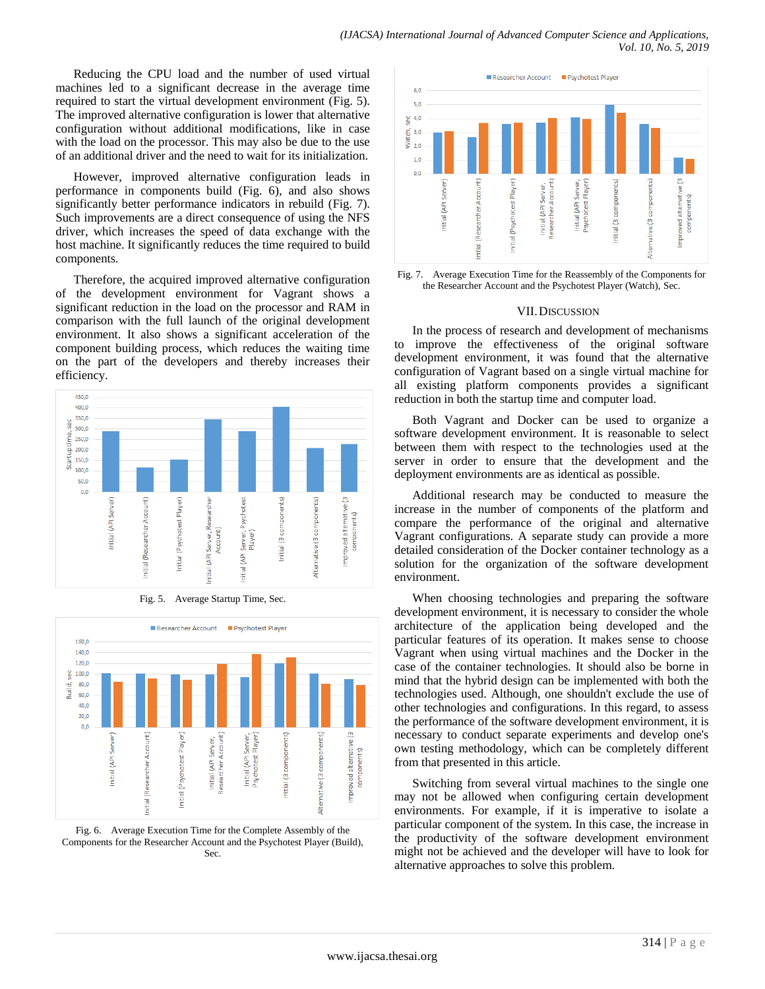Reducing the CPU load and the number of used virtual machines led to a significant decrease in the average time required to start the virtual development environment (Fig. 5). The improved alternative configuration is lower that alternative configuration without additional modifications, like in case with the load on the processor. This may also be due to the use of an additional driver and the need to wait for its initialization.

However, improved alternative configuration leads in performance in components build (Fig. 6), and also shows significantly better performance indicators in rebuild (Fig. 7). Such improvements are a direct consequence of using the NFS driver, which increases the speed of data exchange with the host machine. It significantly reduces the time required to build components.

Therefore, the acquired improved alternative configuration of the development environment for Vagrant shows a significant reduction in the load on the processor and RAM in comparison with the full launch of the original development environment. It also shows a significant acceleration of the component building process, which reduces the waiting time on the part of the developers and thereby increases their efficiency.



Fig. 5. Average Startup Time, Sec.



Fig. 6. Average Execution Time for the Complete Assembly of the Components for the Researcher Account and the Psychotest Player (Build), Sec.



Fig. 7. Average Execution Time for the Reassembly of the Components for the Researcher Account and the Psychotest Player (Watch), Sec.

# VII.DISCUSSION

In the process of research and development of mechanisms to improve the effectiveness of the original software development environment, it was found that the alternative configuration of Vagrant based on a single virtual machine for all existing platform components provides a significant reduction in both the startup time and computer load.

Both Vagrant and Docker can be used to organize a software development environment. It is reasonable to select between them with respect to the technologies used at the server in order to ensure that the development and the deployment environments are as identical as possible.

Additional research may be conducted to measure the increase in the number of components of the platform and compare the performance of the original and alternative Vagrant configurations. A separate study can provide a more detailed consideration of the Docker container technology as a solution for the organization of the software development environment.

When choosing technologies and preparing the software development environment, it is necessary to consider the whole architecture of the application being developed and the particular features of its operation. It makes sense to choose Vagrant when using virtual machines and the Docker in the case of the container technologies. It should also be borne in mind that the hybrid design can be implemented with both the technologies used. Although, one shouldn't exclude the use of other technologies and configurations. In this regard, to assess the performance of the software development environment, it is necessary to conduct separate experiments and develop one's own testing methodology, which can be completely different from that presented in this article.

Switching from several virtual machines to the single one may not be allowed when configuring certain development environments. For example, if it is imperative to isolate a particular component of the system. In this case, the increase in the productivity of the software development environment might not be achieved and the developer will have to look for alternative approaches to solve this problem.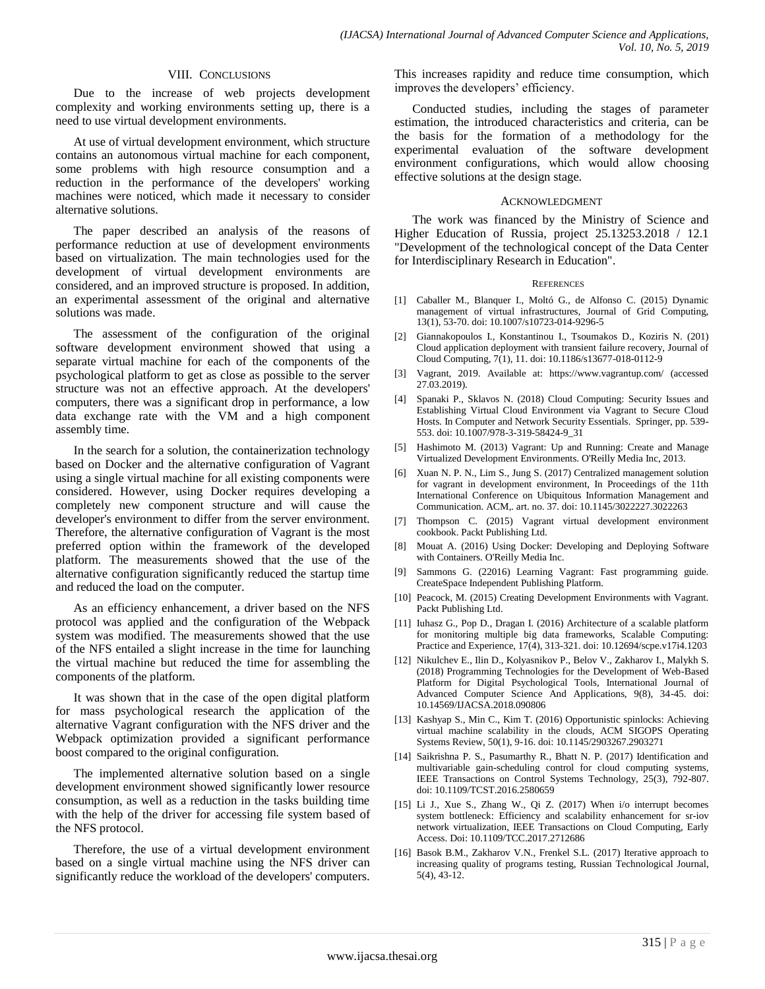#### VIII. CONCLUSIONS

Due to the increase of web projects development complexity and working environments setting up, there is a need to use virtual development environments.

At use of virtual development environment, which structure contains an autonomous virtual machine for each component, some problems with high resource consumption and a reduction in the performance of the developers' working machines were noticed, which made it necessary to consider alternative solutions.

The paper described an analysis of the reasons of performance reduction at use of development environments based on virtualization. The main technologies used for the development of virtual development environments are considered, and an improved structure is proposed. In addition, an experimental assessment of the original and alternative solutions was made.

The assessment of the configuration of the original software development environment showed that using a separate virtual machine for each of the components of the psychological platform to get as close as possible to the server structure was not an effective approach. At the developers' computers, there was a significant drop in performance, a low data exchange rate with the VM and a high component assembly time.

In the search for a solution, the containerization technology based on Docker and the alternative configuration of Vagrant using a single virtual machine for all existing components were considered. However, using Docker requires developing a completely new component structure and will cause the developer's environment to differ from the server environment. Therefore, the alternative configuration of Vagrant is the most preferred option within the framework of the developed platform. The measurements showed that the use of the alternative configuration significantly reduced the startup time and reduced the load on the computer.

As an efficiency enhancement, a driver based on the NFS protocol was applied and the configuration of the Webpack system was modified. The measurements showed that the use of the NFS entailed a slight increase in the time for launching the virtual machine but reduced the time for assembling the components of the platform.

It was shown that in the case of the open digital platform for mass psychological research the application of the alternative Vagrant configuration with the NFS driver and the Webpack optimization provided a significant performance boost compared to the original configuration.

The implemented alternative solution based on a single development environment showed significantly lower resource consumption, as well as a reduction in the tasks building time with the help of the driver for accessing file system based of the NFS protocol.

Therefore, the use of a virtual development environment based on a single virtual machine using the NFS driver can significantly reduce the workload of the developers' computers. This increases rapidity and reduce time consumption, which improves the developers' efficiency.

Conducted studies, including the stages of parameter estimation, the introduced characteristics and criteria, can be the basis for the formation of a methodology for the experimental evaluation of the software development environment configurations, which would allow choosing effective solutions at the design stage.

#### ACKNOWLEDGMENT

The work was financed by the Ministry of Science and Higher Education of Russia, project 25.13253.2018 / 12.1 "Development of the technological concept of the Data Center for Interdisciplinary Research in Education".

#### **REFERENCES**

- [1] Caballer M., Blanquer I., Moltó G., de Alfonso C. (2015) Dynamic management of virtual infrastructures, Journal of Grid Computing, 13(1), 53-70. doi: 10.1007/s10723-014-9296-5
- [2] Giannakopoulos I., Konstantinou I., Tsoumakos D., Koziris N. (201) Cloud application deployment with transient failure recovery, Journal of Cloud Computing, 7(1), 11. doi: 10.1186/s13677-018-0112-9
- [3] Vagrant, 2019. Available at: https://www.vagrantup.com/ (accessed 27.03.2019).
- [4] Spanaki P., Sklavos N. (2018) Cloud Computing: Security Issues and Establishing Virtual Cloud Environment via Vagrant to Secure Cloud Hosts. In Computer and Network Security Essentials. Springer, pp. 539- 553. doi: 10.1007/978-3-319-58424-9\_31
- [5] Hashimoto M. (2013) Vagrant: Up and Running: Create and Manage Virtualized Development Environments. O'Reilly Media Inc, 2013.
- [6] Xuan N. P. N., Lim S., Jung S. (2017) Centralized management solution for vagrant in development environment, In Proceedings of the 11th International Conference on Ubiquitous Information Management and Communication. ACM,. art. no. 37. doi: 10.1145/3022227.3022263
- [7] Thompson C. (2015) Vagrant virtual development environment cookbook. Packt Publishing Ltd.
- [8] Mouat A. (2016) Using Docker: Developing and Deploying Software with Containers. O'Reilly Media Inc.
- [9] Sammons G. (22016) Learning Vagrant: Fast programming guide. CreateSpace Independent Publishing Platform.
- [10] Peacock, M. (2015) Creating Development Environments with Vagrant. Packt Publishing Ltd.
- [11] Iuhasz G., Pop D., Dragan I. (2016) Architecture of a scalable platform for monitoring multiple big data frameworks, Scalable Computing: Practice and Experience, 17(4), 313-321. doi: 10.12694/scpe.v17i4.1203
- [12] Nikulchev E., Ilin D., Kolyasnikov P., Belov V., Zakharov I., Malykh S. (2018) Programming Technologies for the Development of Web-Based Platform for Digital Psychological Tools, International Journal of Advanced Computer Science And Applications, 9(8), 34-45. doi: 10.14569/IJACSA.2018.090806
- [13] Kashyap S., Min C., Kim T. (2016) Opportunistic spinlocks: Achieving virtual machine scalability in the clouds, ACM SIGOPS Operating Systems Review, 50(1), 9-16. doi: 10.1145/2903267.2903271
- [14] Saikrishna P. S., Pasumarthy R., Bhatt N. P. (2017) Identification and multivariable gain-scheduling control for cloud computing systems, IEEE Transactions on Control Systems Technology, 25(3), 792-807. doi: 10.1109/TCST.2016.2580659
- [15] Li J., Xue S., Zhang W., Qi Z. (2017) When i/o interrupt becomes system bottleneck: Efficiency and scalability enhancement for sr-iov network virtualization, IEEE Transactions on Cloud Computing, Early Access. Doi: 10.1109/TCC.2017.2712686
- [16] Basok B.M., Zakharov V.N., Frenkel S.L. (2017) Iterative approach to increasing quality of programs testing, Russian Technological Journal, 5(4), 43-12.